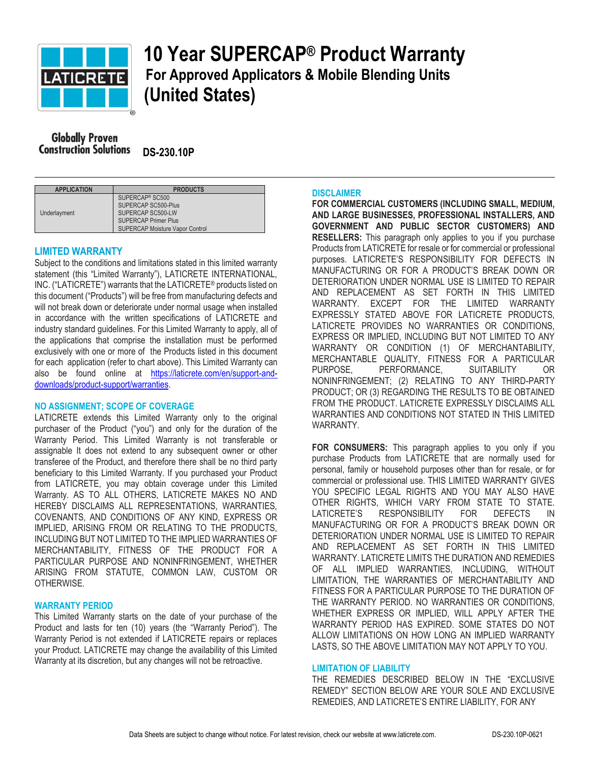

# **10 Year SUPERCAP® Product Warranty For Approved Applicators & Mobile Blending Units (United States)**

**Globally Proven Construction Solutions** DS-230.10P

| <b>APPLICATION</b> | <b>PRODUCTS</b>                        |
|--------------------|----------------------------------------|
| Underlayment       | SUPERCAP <sup>®</sup> SC500            |
|                    | SUPERCAP SC500-Plus                    |
|                    | SUPERCAP SC500-LW                      |
|                    | <b>SUPERCAP Primer Plus</b>            |
|                    | <b>SUPERCAP Moisture Vapor Control</b> |

# **LIMITED WARRANTY**

Subject to the conditions and limitations stated in this limited warranty statement (this "Limited Warranty"), LATICRETE INTERNATIONAL, INC. ("LATICRETE") warrants that the LATICRETE® products listed on this document ("Products") will be free from manufacturing defects and will not break down or deteriorate under normal usage when installed in accordance with the written specifications of LATICRETE and industry standard guidelines. For this Limited Warranty to apply, all of the applications that comprise the installation must be performed exclusively with one or more of the Products listed in this document for each application (refer to chart above). This Limited Warranty can also be found online at [https://laticrete.com/en/support-and](https://laticrete.com/en/support-and-downloads/product-support/warranties)[downloads/product-support/warranties.](https://laticrete.com/en/support-and-downloads/product-support/warranties)

## **NO ASSIGNMENT; SCOPE OF COVERAGE**

LATICRETE extends this Limited Warranty only to the original purchaser of the Product ("you") and only for the duration of the Warranty Period. This Limited Warranty is not transferable or assignable It does not extend to any subsequent owner or other transferee of the Product, and therefore there shall be no third party beneficiary to this Limited Warranty. If you purchased your Product from LATICRETE, you may obtain coverage under this Limited Warranty. AS TO ALL OTHERS, LATICRETE MAKES NO AND HEREBY DISCLAIMS ALL REPRESENTATIONS, WARRANTIES, COVENANTS, AND CONDITIONS OF ANY KIND, EXPRESS OR IMPLIED, ARISING FROM OR RELATING TO THE PRODUCTS, INCLUDING BUT NOT LIMITED TO THE IMPLIED WARRANTIES OF MERCHANTABILITY, FITNESS OF THE PRODUCT FOR A PARTICULAR PURPOSE AND NONINFRINGEMENT, WHETHER ARISING FROM STATUTE, COMMON LAW, CUSTOM OR OTHERWISE.

## **WARRANTY PERIOD**

This Limited Warranty starts on the date of your purchase of the Product and lasts for ten (10) years (the "Warranty Period"). The Warranty Period is not extended if LATICRETE repairs or replaces your Product. LATICRETE may change the availability of this Limited Warranty at its discretion, but any changes will not be retroactive.

#### **DISCLAIMER**

**FOR COMMERCIAL CUSTOMERS (INCLUDING SMALL, MEDIUM, AND LARGE BUSINESSES, PROFESSIONAL INSTALLERS, AND GOVERNMENT AND PUBLIC SECTOR CUSTOMERS) AND RESELLERS:** This paragraph only applies to you if you purchase Products from LATICRETE for resale or for commercial or professional purposes. LATICRETE'S RESPONSIBILITY FOR DEFECTS IN MANUFACTURING OR FOR A PRODUCT'S BREAK DOWN OR DETERIORATION UNDER NORMAL USE IS LIMITED TO REPAIR AND REPLACEMENT AS SET FORTH IN THIS LIMITED WARRANTY. EXCEPT FOR THE LIMITED WARRANTY EXPRESSLY STATED ABOVE FOR LATICRETE PRODUCTS, LATICRETE PROVIDES NO WARRANTIES OR CONDITIONS, EXPRESS OR IMPLIED, INCLUDING BUT NOT LIMITED TO ANY WARRANTY OR CONDITION (1) OF MERCHANTABILITY, MERCHANTABLE QUALITY, FITNESS FOR A PARTICULAR PURPOSE, PERFORMANCE, SUITABILITY OR NONINFRINGEMENT; (2) RELATING TO ANY THIRD-PARTY PRODUCT; OR (3) REGARDING THE RESULTS TO BE OBTAINED FROM THE PRODUCT. LATICRETE EXPRESSLY DISCLAIMS ALL WARRANTIES AND CONDITIONS NOT STATED IN THIS LIMITED WARRANTY.

**FOR CONSUMERS:** This paragraph applies to you only if you purchase Products from LATICRETE that are normally used for personal, family or household purposes other than for resale, or for commercial or professional use. THIS LIMITED WARRANTY GIVES YOU SPECIFIC LEGAL RIGHTS AND YOU MAY ALSO HAVE OTHER RIGHTS, WHICH VARY FROM STATE TO STATE. LATICRETE'S RESPONSIBILITY FOR DEFECTS IN MANUFACTURING OR FOR A PRODUCT'S BREAK DOWN OR DETERIORATION UNDER NORMAL USE IS LIMITED TO REPAIR AND REPLACEMENT AS SET FORTH IN THIS LIMITED WARRANTY. LATICRETE LIMITS THE DURATION AND REMEDIES OF ALL IMPLIED WARRANTIES, INCLUDING, WITHOUT LIMITATION, THE WARRANTIES OF MERCHANTABILITY AND FITNESS FOR A PARTICULAR PURPOSE TO THE DURATION OF THE WARRANTY PERIOD. NO WARRANTIES OR CONDITIONS, WHETHER EXPRESS OR IMPLIED, WILL APPLY AFTER THE WARRANTY PERIOD HAS EXPIRED. SOME STATES DO NOT ALLOW LIMITATIONS ON HOW LONG AN IMPLIED WARRANTY LASTS, SO THE ABOVE LIMITATION MAY NOT APPLY TO YOU.

#### **LIMITATION OF LIABILITY**

THE REMEDIES DESCRIBED BELOW IN THE "EXCLUSIVE REMEDY" SECTION BELOW ARE YOUR SOLE AND EXCLUSIVE REMEDIES, AND LATICRETE'S ENTIRE LIABILITY, FOR ANY